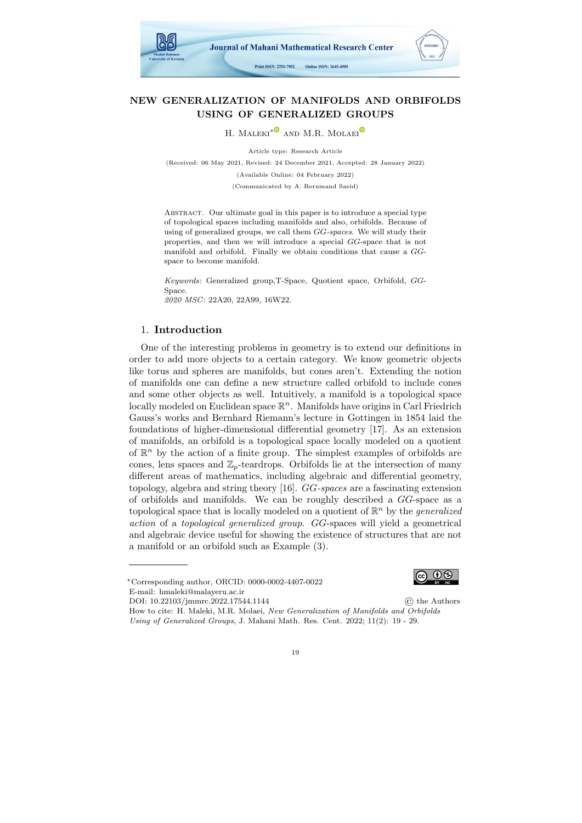

# NEW GENERALIZATION OF MANIFOLDS AND ORBIFOLDS USING OF GENERALIZED GROUPS

H. MALEKI<sup>\*</sub><sup>●</sup> AND M.R. MOLAEI<sup>€</sup></sup>

Article type: Research Article (Received: 06 May 2021, Revised: 24 December 2021, Accepted: 28 January 2022) (Available Online: 04 February 2022) (Communicated by A. Borumand Saeid)

ABSTRACT. Our ultimate goal in this paper is to introduce a special type of topological spaces including manifolds and also, orbifolds. Because of using of generalized groups, we call them GG-spaces. We will study their properties, and then we will introduce a special GG-space that is not manifold and orbifold. Finally we obtain conditions that cause a GGspace to become manifold.

Keywords: Generalized group,T-Space, Quotient space, Orbifold, GG-Space. 2020 MSC: 22A20, 22A99, 16W22.

# 1. Introduction

One of the interesting problems in geometry is to extend our definitions in order to add more objects to a certain category. We know geometric objects like torus and spheres are manifolds, but cones aren't. Extending the notion of manifolds one can define a new structure called orbifold to include cones and some other objects as well. Intuitively, a manifold is a topological space locally modeled on Euclidean space  $\mathbb{R}^n$ . Manifolds have origins in Carl Friedrich Gauss's works and Bernhard Riemann's lecture in Gottingen in 1854 laid the foundations of higher-dimensional differential geometry [\[17\]](#page-10-0). As an extension of manifolds, an orbifold is a topological space locally modeled on a quotient of  $\mathbb{R}^n$  by the action of a finite group. The simplest examples of orbifolds are cones, lens spaces and  $\mathbb{Z}_p$ -teardrops. Orbifolds lie at the intersection of many different areas of mathematics, including algebraic and differential geometry, topology, algebra and string theory [\[16\]](#page-10-1). GG-spaces are a fascinating extension of orbifolds and manifolds. We can be roughly described a GG-space as a topological space that is locally modeled on a quotient of  $\mathbb{R}^n$  by the *generalized* action of a topological generalized group. GG-spaces will yield a geometrical and algebraic device useful for showing the existence of structures that are not a manifold or an orbifold such as Example [\(3\)](#page-6-0).



<sup>∗</sup>Corresponding author, ORCID: 0000-0002-4407-0022 E-mail: hmaleki@malayeru.ac.ir

DOI: 10.22103/jmmrc.2022.17544.1144 © the Authors

How to cite: H. Maleki, M.R. Molaei, New Generalization of Manifolds and Orbifolds Using of Generalized Groups, J. Mahani Math. Res. Cent. 2022; 11(2): 19 - 29.

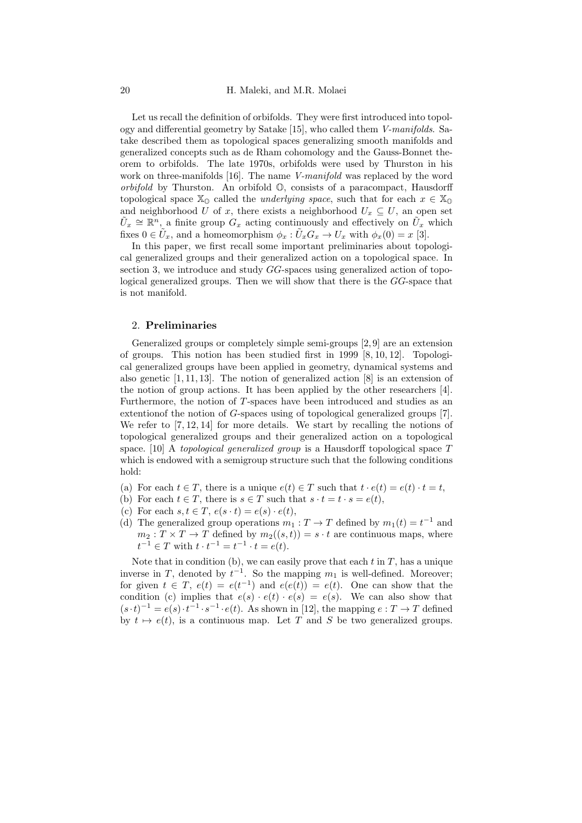Let us recall the definition of orbifolds. They were first introduced into topology and differential geometry by Satake [\[15\]](#page-10-2), who called them V-manifolds. Satake described them as topological spaces generalizing smooth manifolds and generalized concepts such as de Rham cohomology and the Gauss-Bonnet theorem to orbifolds. The late 1970s, orbifolds were used by Thurston in his work on three-manifolds [\[16\]](#page-10-1). The name *V-manifold* was replaced by the word orbifold by Thurston. An orbifold O, consists of a paracompact, Hausdorff topological space  $\mathbb{X}_0$  called the *underlying space*, such that for each  $x \in \mathbb{X}_0$ and neighborhood U of x, there exists a neighborhood  $U_x \subseteq U$ , an open set  $\tilde{U}_x \cong \mathbb{R}^n$ , a finite group  $G_x$  acting continuously and effectively on  $\tilde{U}_x$  which fixes  $0 \in \tilde{U}_x$ , and a homeomorphism  $\phi_x : \tilde{U}_x G_x \to U_x$  with  $\phi_x(0) = x$  [\[3\]](#page-10-3).

In this paper, we first recall some important preliminaries about topological generalized groups and their generalized action on a topological space. In section 3, we introduce and study GG-spaces using generalized action of topological generalized groups. Then we will show that there is the GG-space that is not manifold.

## 2. Preliminaries

Generalized groups or completely simple semi-groups [\[2,](#page-10-4) [9\]](#page-10-5) are an extension of groups. This notion has been studied first in 1999 [\[8,](#page-10-6) [10,](#page-10-7) [12\]](#page-10-8). Topological generalized groups have been applied in geometry, dynamical systems and also genetic [\[1,](#page-10-9) [11,](#page-10-10) [13\]](#page-10-11). The notion of generalized action [\[8\]](#page-10-6) is an extension of the notion of group actions. It has been applied by the other researchers [\[4\]](#page-10-12). Furthermore, the notion of T-spaces have been introduced and studies as an extentionof the notion of G-spaces using of topological generalized groups [\[7\]](#page-10-13). We refer to [\[7,](#page-10-13) [12,](#page-10-8) [14\]](#page-10-14) for more details. We start by recalling the notions of topological generalized groups and their generalized action on a topological space. [\[10\]](#page-10-7) A topological generalized group is a Hausdorff topological space T which is endowed with a semigroup structure such that the following conditions hold:

- (a) For each  $t \in T$ , there is a unique  $e(t) \in T$  such that  $t \cdot e(t) = e(t) \cdot t = t$ ,
- (b) For each  $t \in T$ , there is  $s \in T$  such that  $s \cdot t = t \cdot s = e(t)$ ,
- (c) For each  $s, t \in T$ ,  $e(s \cdot t) = e(s) \cdot e(t)$ ,
- <span id="page-1-0"></span>(d) The generalized group operations  $m_1 : T \to T$  defined by  $m_1(t) = t^{-1}$  and  $m_2: T \times T \to T$  defined by  $m_2((s,t)) = s \cdot t$  are continuous maps, where  $t^{-1} \in T$  with  $t \cdot t^{-1} = t^{-1} \cdot t = e(t)$ .

Note that in condition (b), we can easily prove that each  $t$  in  $T$ , has a unique inverse in T, denoted by  $t^{-1}$ . So the mapping  $m_1$  is well-defined. Moreover; for given  $t \in T$ ,  $e(t) = e(t^{-1})$  and  $e(e(t)) = e(t)$ . One can show that the condition (c) implies that  $e(s) \cdot e(t) \cdot e(s) = e(s)$ . We can also show that  $(s \cdot t)^{-1} = e(s) \cdot t^{-1} \cdot s^{-1} \cdot e(t)$ . As shown in [\[12\]](#page-10-8), the mapping  $e : T \to T$  defined by  $t \mapsto e(t)$ , is a continuous map. Let T and S be two generalized groups.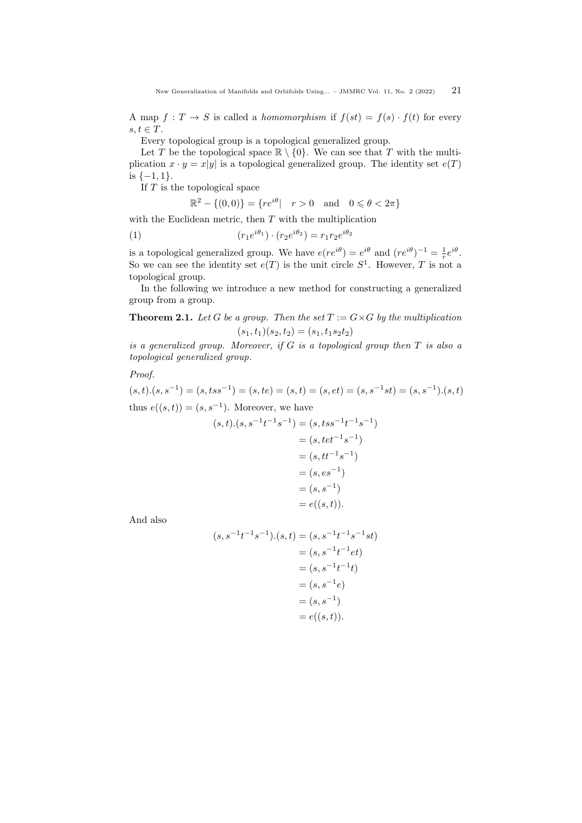A map  $f: T \to S$  is called a *homomorphism* if  $f(st) = f(s) \cdot f(t)$  for every  $s, t \in T$ .

Every topological group is a topological generalized group.

Let T be the topological space  $\mathbb{R} \setminus \{0\}$ . We can see that T with the multiplication  $x \cdot y = x|y|$  is a topological generalized group. The identity set  $e(T)$ is  $\{-1, 1\}.$ 

If  $T$  is the topological space

$$
\mathbb{R}^2 - \{(0,0)\} = \{re^{i\theta} \mid r > 0 \text{ and } 0 \le \theta < 2\pi\}
$$

with the Euclidean metric, then  $T$  with the multiplication

 $(r_1e^{i\theta_1}) \cdot (r_2e^{i\theta_2}) = r_1r_2e^{i\theta_2}$ (1)

is a topological generalized group. We have  $e(re^{i\theta}) = e^{i\theta}$  and  $(re^{i\theta})^{-1} = \frac{1}{r}e^{i\theta}$ . So we can see the identity set  $e(T)$  is the unit circle  $S<sup>1</sup>$ . However, T is not a topological group.

In the following we introduce a new method for constructing a generalized group from a group.

<span id="page-2-0"></span>**Theorem 2.1.** Let G be a group. Then the set  $T := G \times G$  by the multiplication  $(s_1, t_1)(s_2, t_2) = (s_1, t_1s_2t_2)$ 

is a generalized group. Moreover, if  $G$  is a topological group then  $T$  is also a topological generalized group.

Proof.

 $(s, t) \cdot (s, s^{-1}) = (s, t s s^{-1}) = (s, t e) = (s, t) = (s, e t) = (s, s^{-1} s t) = (s, s^{-1}) \cdot (s, t)$ thus  $e((s,t)) = (s, s^{-1})$ . Moreover, we have

$$
(s,t).(s, s^{-1}t^{-1}s^{-1}) = (s, tss^{-1}t^{-1}s^{-1})
$$
  
=  $(s, tet^{-1}s^{-1})$   
=  $(s, tt^{-1}s^{-1})$   
=  $(s, es^{-1})$   
=  $(s, s^{-1})$   
=  $e((s, t)).$ 

And also

$$
(s, s^{-1}t^{-1}s^{-1}).(s,t) = (s, s^{-1}t^{-1}s^{-1}st)
$$
  

$$
= (s, s^{-1}t^{-1}et)
$$
  

$$
= (s, s^{-1}t^{-1}t)
$$
  

$$
= (s, s^{-1}e)
$$
  

$$
= (s, s^{-1})
$$
  

$$
= e((s, t)).
$$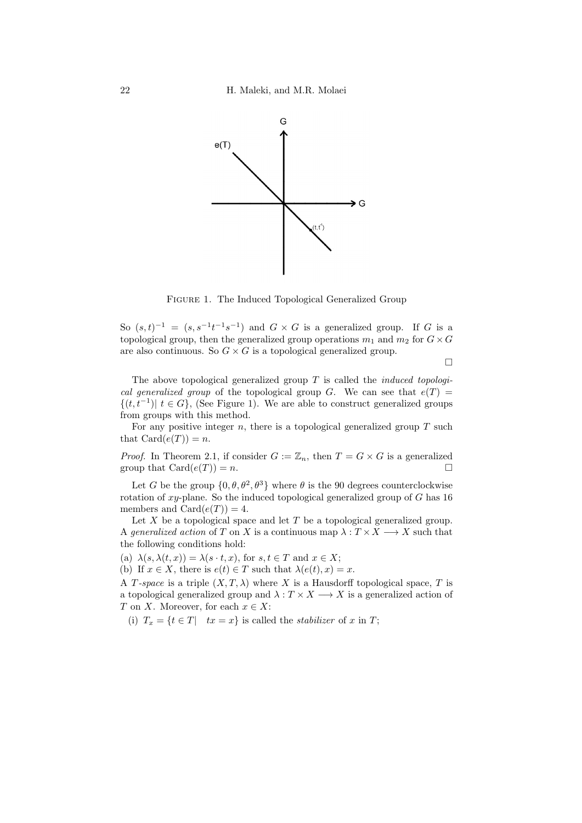<span id="page-3-0"></span>

Figure 1. The Induced Topological Generalized Group

So  $(s,t)^{-1} = (s, s^{-1}t^{-1}s^{-1})$  and  $G \times G$  is a generalized group. If G is a topological group, then the generalized group operations  $m_1$  and  $m_2$  for  $G \times G$ are also continuous. So  $G \times G$  is a topological generalized group.

 $\Box$ 

The above topological generalized group  $T$  is called the *induced topologi*cal generalized group of the topological group G. We can see that  $e(T)$  =  $\{(t, t^{-1}) | t \in G\}$ , (See Figure [1\)](#page-3-0). We are able to construct generalized groups from groups with this method.

For any positive integer  $n$ , there is a topological generalized group  $T$  such that  $Card(e(T))=n$ .

*Proof.* In Theorem [2.1,](#page-2-0) if consider  $G := \mathbb{Z}_n$ , then  $T = G \times G$  is a generalized group that  $\text{Card}(e(T)) = n$ .

Let G be the group  $\{0, \theta, \theta^2, \theta^3\}$  where  $\theta$  is the 90 degrees counterclockwise rotation of  $xy$ -plane. So the induced topological generalized group of  $G$  has 16 members and Card $(e(T)) = 4$ .

Let X be a topological space and let  $T$  be a topological generalized group. A generalized action of T on X is a continuous map  $\lambda: T \times X \longrightarrow X$  such that the following conditions hold:

(a)  $\lambda(s, \lambda(t, x)) = \lambda(s \cdot t, x)$ , for  $s, t \in T$  and  $x \in X$ ;

(b) If  $x \in X$ , there is  $e(t) \in T$  such that  $\lambda(e(t), x) = x$ .

A T-space is a triple  $(X, T, \lambda)$  where X is a Hausdorff topological space, T is a topological generalized group and  $\lambda: T \times X \longrightarrow X$  is a generalized action of T on X. Moreover, for each  $x \in X$ :

(i)  $T_x = \{t \in T |$   $tx = x\}$  is called the *stabilizer* of x in T;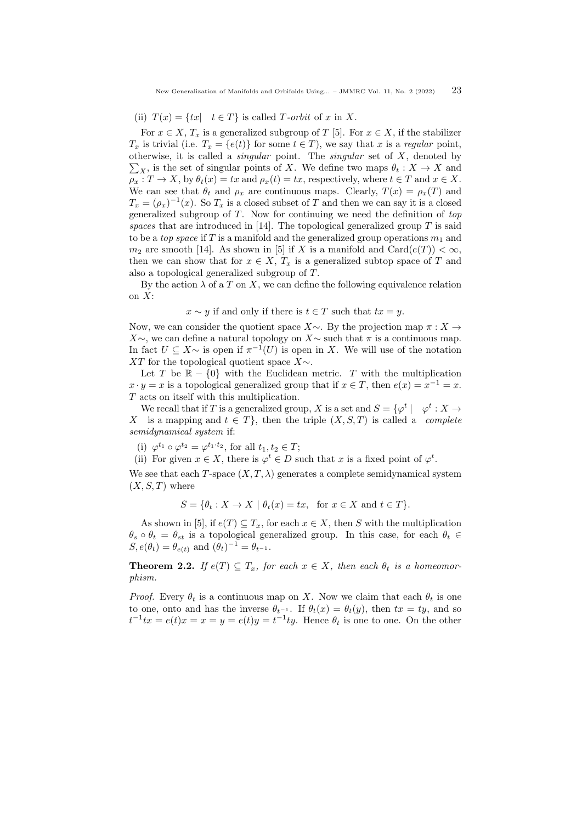### (ii)  $T(x) = \{tx \mid t \in T\}$  is called T-orbit of x in X.

For  $x \in X$ ,  $T_x$  is a generalized subgroup of T [\[5\]](#page-10-15). For  $x \in X$ , if the stabilizer  $T_x$  is trivial (i.e.  $T_x = \{e(t)\}\$ for some  $t \in T$ ), we say that x is a regular point, otherwise, it is called a *singular* point. The *singular* set of  $X$ , denoted by  $\sum_{X}$ , is the set of singular points of X. We define two maps  $\theta_t : X \to X$  and  $\rho_x: T \to X$ , by  $\theta_t(x) = tx$  and  $\rho_x(t) = tx$ , respectively, where  $t \in T$  and  $x \in X$ . We can see that  $\theta_t$  and  $\rho_x$  are continuous maps. Clearly,  $T(x) = \rho_x(T)$  and  $T_x = (\rho_x)^{-1}(x)$ . So  $T_x$  is a closed subset of T and then we can say it is a closed generalized subgroup of  $T$ . Now for continuing we need the definition of  $top$ spaces that are introduced in [\[14\]](#page-10-14). The topological generalized group  $T$  is said to be a *top space* if T is a manifold and the generalized group operations  $m_1$  and  $m_2$  are smooth [\[14\]](#page-10-14). As shown in [\[5\]](#page-10-15) if X is a manifold and Card $(e(T)) < \infty$ , then we can show that for  $x \in X$ ,  $T_x$  is a generalized subtop space of T and also a topological generalized subgroup of T.

By the action  $\lambda$  of a T on X, we can define the following equivalence relation on  $X$ :

#### $x \sim y$  if and only if there is  $t \in T$  such that  $tx = y$ .

Now, we can consider the quotient space  $X\sim$ . By the projection map  $\pi: X \to$  $X\sim$ , we can define a natural topology on  $X\sim$  such that  $\pi$  is a continuous map. In fact  $U \subseteq X \sim$  is open if  $\pi^{-1}(U)$  is open in X. We will use of the notation XT for the topological quotient space  $X \sim$ .

Let T be  $\mathbb{R} - \{0\}$  with the Euclidean metric. T with the multiplication  $x \cdot y = x$  is a topological generalized group that if  $x \in T$ , then  $e(x) = x^{-1} = x$ . T acts on itself with this multiplication.

We recall that if T is a generalized group, X is a set and  $S = \{ \varphi^t \mid \varphi^t : X \to \varphi^t \}$ X is a mapping and  $t \in T$ , then the triple  $(X, S, T)$  is called a *complete* semidynamical system if:

(i)  $\varphi^{t_1} \circ \varphi^{t_2} = \varphi^{t_1 \cdot t_2}$ , for all  $t_1, t_2 \in T$ ;

(ii) For given  $x \in X$ , there is  $\varphi^t \in D$  such that x is a fixed point of  $\varphi^t$ .

We see that each T-space  $(X, T, \lambda)$  generates a complete semidynamical system  $(X, S, T)$  where

$$
S = \{ \theta_t : X \to X \mid \theta_t(x) = tx, \text{ for } x \in X \text{ and } t \in T \}.
$$

As shown in [\[5\]](#page-10-15), if  $e(T) \subseteq T_x$ , for each  $x \in X$ , then S with the multiplication  $\theta_s \circ \theta_t = \theta_{st}$  is a topological generalized group. In this case, for each  $\theta_t \in$  $S, e(\theta_t) = \theta_{e(t)}$  and  $(\theta_t)^{-1} = \theta_{t^{-1}}$ .

**Theorem 2.2.** If  $e(T) \subseteq T_x$ , for each  $x \in X$ , then each  $\theta_t$  is a homeomorphism.

*Proof.* Every  $\theta_t$  is a continuous map on X. Now we claim that each  $\theta_t$  is one to one, onto and has the inverse  $\theta_{t-1}$ . If  $\theta_t(x) = \theta_t(y)$ , then  $tx = ty$ , and so  $t^{-1}tx = e(t)x = x = y = e(t)y = t^{-1}ty$ . Hence  $\theta_t$  is one to one. On the other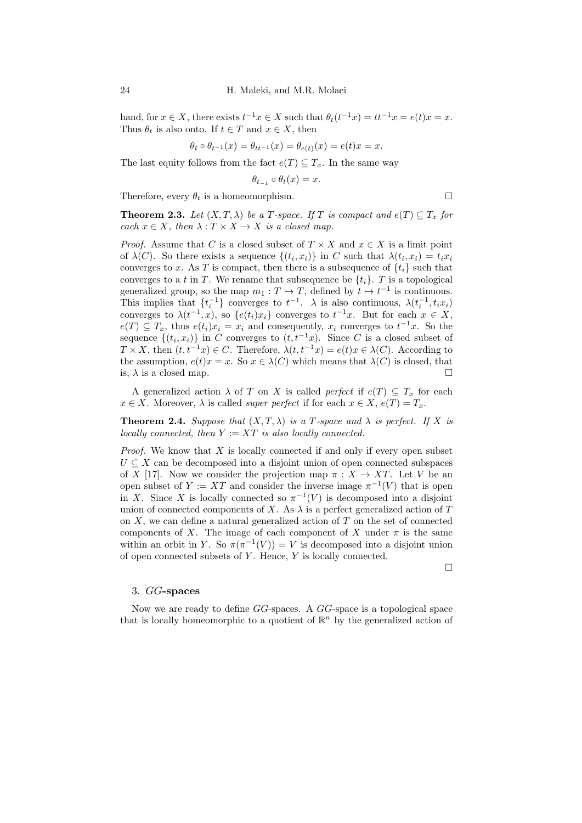hand, for  $x \in X$ , there exists  $t^{-1}x \in X$  such that  $\theta_t(t^{-1}x) = tt^{-1}x = e(t)x = x$ . Thus  $\theta_t$  is also onto. If  $t \in T$  and  $x \in X$ , then

$$
\theta_t \circ \theta_{t^{-1}}(x) = \theta_{tt^{-1}}(x) = \theta_{e(t)}(x) = e(t)x = x.
$$

The last equity follows from the fact  $e(T) \subseteq T_x$ . In the same way

$$
\theta_{t_{-1}} \circ \theta_t(x) = x.
$$

Therefore, every  $\theta_t$  is a homeomorphism.  $\Box$ 

**Theorem 2.3.** Let  $(X, T, \lambda)$  be a T-space. If T is compact and  $e(T) \subseteq T_x$  for each  $x \in X$ , then  $\lambda : T \times X \to X$  is a closed map.

*Proof.* Assume that C is a closed subset of  $T \times X$  and  $x \in X$  is a limit point of  $\lambda(C)$ . So there exists a sequence  $\{(t_i, x_i)\}\$ in C such that  $\lambda(t_i, x_i) = t_i x_i$ converges to x. As T is compact, then there is a subsequence of  $\{t_i\}$  such that converges to a t in T. We rename that subsequence be  $\{t_i\}$ . T is a topological generalized group, so the map  $m_1 : T \to T$ , defined by  $t \mapsto t^{-1}$  is continuous. This implies that  $\{t_i^{-1}\}$  converges to  $t^{-1}$ .  $\lambda$  is also continuous,  $\lambda(t_i^{-1}, t_i x_i)$ converges to  $\lambda(t^{-1},x)$ , so  $\{e(t_i)x_i\}$  converges to  $t^{-1}x$ . But for each  $x \in X$ ,  $e(T) \subseteq T_x$ , thus  $e(t_i)x_i = x_i$  and consequently,  $x_i$  converges to  $t^{-1}x$ . So the sequence  $\{(t_i, x_i)\}\$ in C converges to  $(t, t^{-1}x)$ . Since C is a closed subset of  $T \times X$ , then  $(t, t^{-1}x) \in C$ . Therefore,  $\lambda(t, t^{-1}x) = e(t)x \in \lambda(C)$ . According to the assumption,  $e(t)x = x$ . So  $x \in \lambda(C)$  which means that  $\lambda(C)$  is closed, that is,  $\lambda$  is a closed map.

A generalized action  $\lambda$  of T on X is called *perfect* if  $e(T) \subseteq T_r$  for each  $x \in X$ . Moreover,  $\lambda$  is called *super perfect* if for each  $x \in X$ ,  $e(T) = T_x$ .

**Theorem 2.4.** Suppose that  $(X, T, \lambda)$  is a T-space and  $\lambda$  is perfect. If X is locally connected, then  $Y := XT$  is also locally connected.

*Proof.* We know that  $X$  is locally connected if and only if every open subset  $U \subseteq X$  can be decomposed into a disjoint union of open connected subspaces of X [\[17\]](#page-10-0). Now we consider the projection map  $\pi : X \to XT$ . Let V be an open subset of  $Y := XT$  and consider the inverse image  $\pi^{-1}(V)$  that is open in X. Since X is locally connected so  $\pi^{-1}(V)$  is decomposed into a disjoint union of connected components of X. As  $\lambda$  is a perfect generalized action of T on  $X$ , we can define a natural generalized action of  $T$  on the set of connected components of X. The image of each component of X under  $\pi$  is the same within an orbit in Y. So  $\pi(\pi^{-1}(V)) = V$  is decomposed into a disjoint union of open connected subsets of  $Y$ . Hence,  $Y$  is locally connected.

 $\Box$ 

#### <span id="page-5-0"></span>3. GG-spaces

Now we are ready to define GG-spaces. A GG-space is a topological space that is locally homeomorphic to a quotient of  $\mathbb{R}^n$  by the generalized action of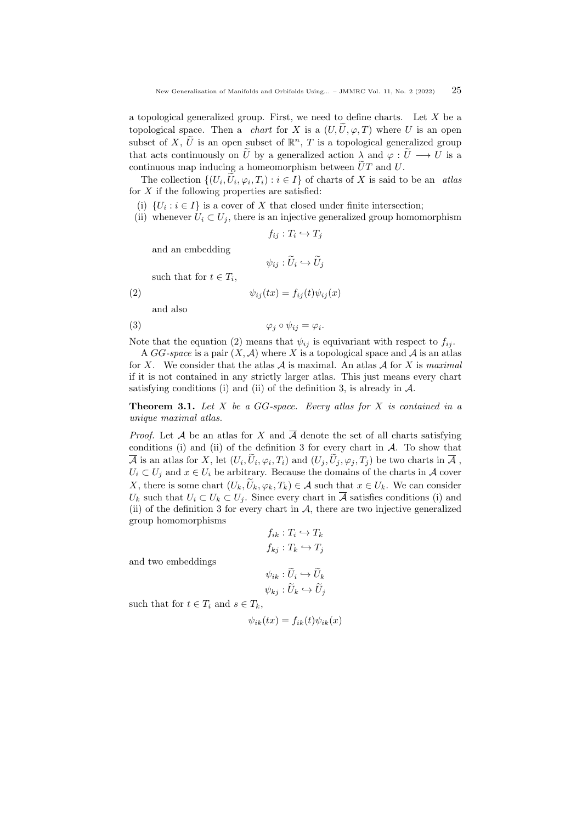a topological generalized group. First, we need to define charts. Let  $X$  be a topological space. Then a *chart* for X is a  $(U, \tilde{U}, \varphi, T)$  where U is an open subset of X,  $\widetilde{U}$  is an open subset of  $\mathbb{R}^n$ , T is a topological generalized group that acts continuously on  $\tilde{U}$  by a generalized action  $\lambda$  and  $\varphi : \tilde{U} \longrightarrow U$  is a continuous map inducing a homeomorphism between  $\tilde{U}T$  and U.

The collection  $\{(U_i, U_i, \varphi_i, T_i) : i \in I\}$  of charts of X is said to be an atlas for  $X$  if the following properties are satisfied:

(i)  $\{U_i : i \in I\}$  is a cover of X that closed under finite intersection;

(ii) whenever  $U_i \subset U_j$ , there is an injective generalized group homomorphism

$$
f_{ij}: T_i \hookrightarrow T_j
$$

and an embedding

<span id="page-6-1"></span>
$$
\psi_{ij}: \tilde{U}_i \hookrightarrow \tilde{U}_j
$$

such that for  $t \in T_i$ ,

(2) 
$$
\psi_{ij}(tx) = f_{ij}(t)\psi_{ij}(x)
$$

and also

$$
\varphi_j \circ \psi_{ij} = \varphi_i.
$$

Note that the equation [\(2\)](#page-6-1) means that  $\psi_{ij}$  is equivariant with respect to  $f_{ij}$ .

A GG-space is a pair  $(X, \mathcal{A})$  where X is a topological space and A is an atlas for X. We consider that the atlas A is maximal. An atlas A for X is maximal if it is not contained in any strictly larger atlas. This just means every chart satisfying conditions (i) and (ii) of the definition [3,](#page-5-0) is already in  $\mathcal{A}$ .

<span id="page-6-0"></span>**Theorem 3.1.** Let  $X$  be a  $GG$ -space. Every atlas for  $X$  is contained in a unique maximal atlas.

*Proof.* Let A be an atlas for X and  $\overline{A}$  denote the set of all charts satisfying conditions (i) and (ii) of the definition [3](#page-5-0) for every chart in  $A$ . To show that  $\overline{\mathcal{A}}$  is an atlas for X, let  $(U_i, U_i, \varphi_i, T_i)$  and  $(U_j, U_j, \varphi_j, T_j)$  be two charts in  $\overline{\mathcal{A}}$ ,  $U_i \subset U_j$  and  $x \in U_i$  be arbitrary. Because the domains of the charts in A cover X, there is some chart  $(U_k, \tilde{U}_k, \varphi_k, T_k) \in \mathcal{A}$  such that  $x \in U_k$ . We can consider  $U_k$  such that  $U_i \subset U_k \subset U_j$ . Since every chart in  $\overline{A}$  satisfies conditions (i) and (ii) of the definition [3](#page-5-0) for every chart in  $A$ , there are two injective generalized group homomorphisms

$$
f_{ik}: T_i \hookrightarrow T_k
$$

$$
f_{kj}: T_k \hookrightarrow T_j
$$

$$
\psi_{ik}: \widetilde{U}_i \hookrightarrow \widetilde{U}_k
$$

and two embeddings

$$
\psi_{kj} : \widetilde{U}_k \hookrightarrow \widetilde{U}_j
$$

such that for  $t \in T_i$  and  $s \in T_k$ ,

$$
\psi_{ik}(tx) = f_{ik}(t)\psi_{ik}(x)
$$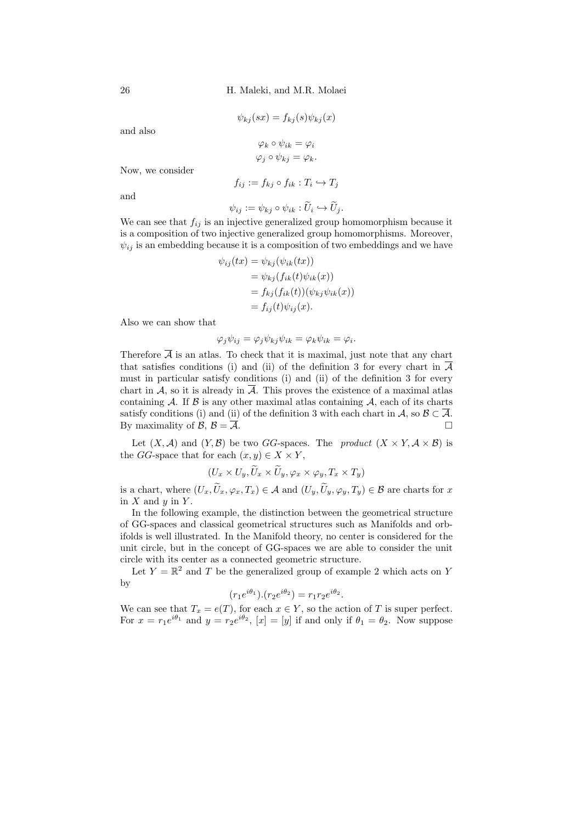26 H. Maleki, and M.R. Molaei

$$
\psi_{kj}(sx) = f_{kj}(s)\psi_{kj}(x)
$$

and also

$$
\varphi_k \circ \psi_{ik} = \varphi_i
$$

$$
\varphi_j \circ \psi_{kj} = \varphi_k
$$

Now, we consider

$$
f_{ij} := f_{kj} \circ f_{ik} : T_i \hookrightarrow T_j
$$

and

$$
\psi_{ij} := \psi_{kj} \circ \psi_{ik} : \widetilde{U}_i \hookrightarrow \widetilde{U}_j.
$$

We can see that  $f_{ij}$  is an injective generalized group homomorphism because it is a composition of two injective generalized group homomorphisms. Moreover,  $\psi_{ij}$  is an embedding because it is a composition of two embeddings and we have

$$
\psi_{ij}(tx) = \psi_{kj}(\psi_{ik}(tx))
$$
  
=  $\psi_{kj}(f_{ik}(t)\psi_{ik}(x))$   
=  $f_{kj}(f_{ik}(t))(\psi_{kj}\psi_{ik}(x))$   
=  $f_{ij}(t)\psi_{ij}(x)$ .

Also we can show that

$$
\varphi_j \psi_{ij} = \varphi_j \psi_{kj} \psi_{ik} = \varphi_k \psi_{ik} = \varphi_i.
$$

Therefore  $\overline{A}$  is an atlas. To check that it is maximal, just note that any chart that satisfies conditions (i) and (ii) of the definition [3](#page-5-0) for every chart in  $\overline{\mathcal{A}}$ must in particular satisfy conditions (i) and (ii) of the definition [3](#page-5-0) for every chart in A, so it is already in  $\overline{A}$ . This proves the existence of a maximal atlas containing A. If  $\beta$  is any other maximal atlas containing A, each of its charts satisfy conditions (i) and (ii) of the definition [3](#page-5-0) with each chart in A, so  $\mathcal{B} \subset \overline{\mathcal{A}}$ . By maximality of  $\mathcal{B}, \mathcal{B} = \overline{\mathcal{A}}$ .

Let  $(X, \mathcal{A})$  and  $(Y, \mathcal{B})$  be two GG-spaces. The *product*  $(X \times Y, \mathcal{A} \times \mathcal{B})$  is the GG-space that for each  $(x, y) \in X \times Y$ ,

$$
(U_x \times U_y, \widetilde{U}_x \times \widetilde{U}_y, \varphi_x \times \varphi_y, T_x \times T_y)
$$

is a chart, where  $(U_x, \widetilde{U}_x, \varphi_x, T_x) \in \mathcal{A}$  and  $(U_y, \widetilde{U}_y, \varphi_y, T_y) \in \mathcal{B}$  are charts for x in  $X$  and  $y$  in  $Y$ .

In the following example, the distinction between the geometrical structure of GG-spaces and classical geometrical structures such as Manifolds and orbifolds is well illustrated. In the Manifold theory, no center is considered for the unit circle, but in the concept of GG-spaces we are able to consider the unit circle with its center as a connected geometric structure.

Let  $Y = \mathbb{R}^2$  and T be the generalized group of example [2](#page-1-0) which acts on Y by

$$
(r_1 e^{i\theta_1}) \cdot (r_2 e^{i\theta_2}) = r_1 r_2 e^{i\theta_2}.
$$

We can see that  $T_x = e(T)$ , for each  $x \in Y$ , so the action of T is super perfect. For  $x = r_1 e^{i\theta_1}$  and  $y = r_2 e^{i\theta_2}$ ,  $[x] = [y]$  if and only if  $\theta_1 = \theta_2$ . Now suppose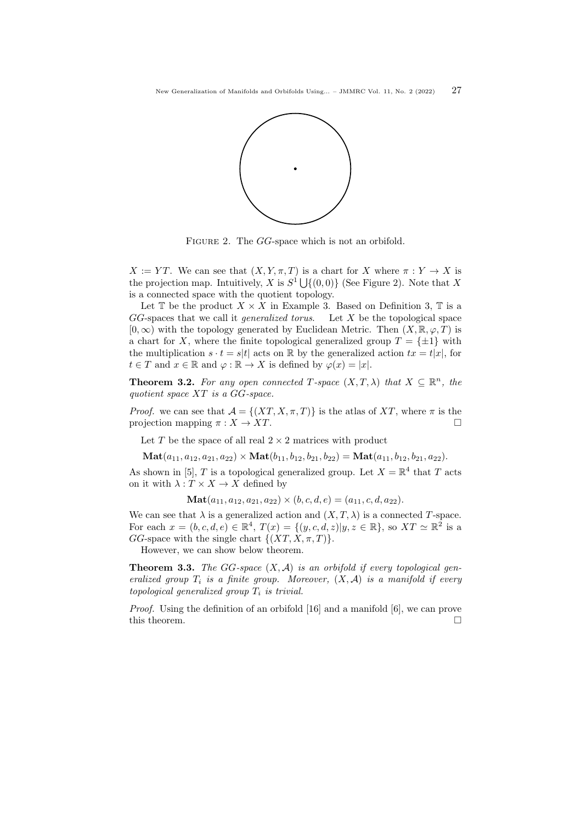

FIGURE 2. The GG-space which is not an orbifold.

 $X := YT$ . We can see that  $(X, Y, \pi, T)$  is a chart for X where  $\pi : Y \to X$  is the projection map. Intuitively, X is  $S^1 \bigcup \{(0,0)\}$  (See Figure 2). Note that X is a connected space with the quotient topology.

Let  $\mathbb T$  be the product  $X \times X$  in Example [3.](#page-6-0) Based on Definition [3,](#page-6-0)  $\mathbb T$  is a  $GG$ -spaces that we call it *generalized torus*. Let X be the topological space  $[0, \infty)$  with the topology generated by Euclidean Metric. Then  $(X, \mathbb{R}, \varphi, T)$  is a chart for X, where the finite topological generalized group  $T = \{\pm 1\}$  with the multiplication  $s \cdot t = s|t|$  acts on R by the generalized action  $tx = t|x|$ , for  $t \in T$  and  $x \in \mathbb{R}$  and  $\varphi : \mathbb{R} \to X$  is defined by  $\varphi(x) = |x|$ .

**Theorem 3.2.** For any open connected T-space  $(X, T, \lambda)$  that  $X \subseteq \mathbb{R}^n$ , the quotient space XT is a GG-space.

*Proof.* we can see that  $A = \{(XT, X, \pi, T)\}\$ is the atlas of XT, where  $\pi$  is the projection mapping  $\pi : X \to XT$ .

Let T be the space of all real  $2 \times 2$  matrices with product

 $\text{Mat}(a_{11}, a_{12}, a_{21}, a_{22}) \times \text{Mat}(b_{11}, b_{12}, b_{21}, b_{22}) = \text{Mat}(a_{11}, b_{12}, b_{21}, a_{22}).$ 

As shown in [\[5\]](#page-10-15), T is a topological generalized group. Let  $X = \mathbb{R}^4$  that T acts on it with  $\lambda: T \times X \to X$  defined by

 $\textbf{Mat}(a_{11}, a_{12}, a_{21}, a_{22}) \times (b, c, d, e) = (a_{11}, c, d, a_{22}).$ 

We can see that  $\lambda$  is a generalized action and  $(X, T, \lambda)$  is a connected T-space. For each  $x = (b, c, d, e) \in \mathbb{R}^4$ ,  $T(x) = \{(y, c, d, z) | y, z \in \mathbb{R}\}$ , so  $XT \simeq \mathbb{R}^2$  is a GG-space with the single chart  $\{(XT, X, \pi, T)\}.$ 

However, we can show below theorem.

**Theorem 3.3.** The GG-space  $(X, \mathcal{A})$  is an orbifold if every topological generalized group  $T_i$  is a finite group. Moreover,  $(X, \mathcal{A})$  is a manifold if every topological generalized group  $T_i$  is trivial.

Proof. Using the definition of an orbifold [\[16\]](#page-10-1) and a manifold [\[6\]](#page-10-16), we can prove this theorem.  $\Box$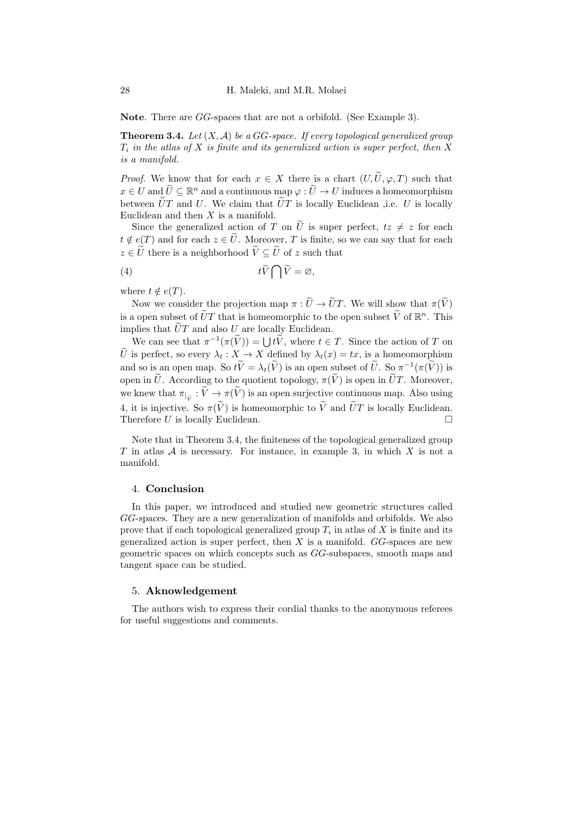Note. There are GG-spaces that are not a orbifold. (See Example [3\)](#page-6-0).

<span id="page-9-1"></span>**Theorem 3.4.** Let  $(X, \mathcal{A})$  be a GG-space. If every topological generalized group  $T_i$  in the atlas of X is finite and its generalized action is super perfect, then X is a manifold.

*Proof.* We know that for each  $x \in X$  there is a chart  $(U, \tilde{U}, \varphi, T)$  such that  $x \in U$  and  $\widetilde{U} \subseteq \mathbb{R}^n$  and a continuous map  $\varphi : \widetilde{U} \to U$  induces a homeomorphism between  $\tilde{U}T$  and U. We claim that  $\tilde{U}T$  is locally Euclidean ,i.e. U is locally Euclidean and then  $X$  is a manifold.

Since the generalized action of T on  $\tilde{U}$  is super perfect,  $tz \neq z$  for each  $t \notin e(T)$  and for each  $z \in \tilde{U}$ . Moreover, T is finite, so we can say that for each  $z \in \tilde{U}$  there is a neighborhood  $\tilde{V} \subseteq \tilde{U}$  of z such that

<span id="page-9-0"></span>
$$
(4) \t\t t\widetilde{V}\bigcap\widetilde{V}=\varnothing,
$$

where  $t \notin e(T)$ .

Now we consider the projection map  $\pi : \tilde{U} \to \tilde{U}T$ . We will show that  $\pi(\tilde{V})$ is a open subset of  $\widetilde{U}T$  that is homeomorphic to the open subset  $\widetilde{V}$  of  $\mathbb{R}^n$ . This implies that  $\tilde{U}T$  and also U are locally Euclidean.

We can see that  $\pi^{-1}(\pi(\widetilde{V})) = \bigcup t\widetilde{V}$ , where  $t \in T$ . Since the action of T on  $\tilde{U}$  is perfect, so every  $\lambda_t : X \to X$  defined by  $\lambda_t(x) = tx$ , is a homeomorphism and so is an open map. So  $t\tilde{V} = \lambda_t(\tilde{V})$  is an open subset of  $\tilde{U}$ . So  $\pi^{-1}(\pi(\tilde{V}))$  is open in  $\tilde{U}$ . According to the quotient topology,  $\pi(\tilde{V})$  is open in  $\tilde{U}T$ . Moreover, we knew that  $\pi_{\vert \tilde{V}} : V \to \pi(V)$  is an open surjective continuous map. Also using [4,](#page-9-0) it is injective. So  $\pi(\widetilde{V})$  is homeomorphic to  $\widetilde{V}$  and  $\widetilde{U}T$  is locally Euclidean.<br>Therefore U is locally Euclidean. Therefore U is locally Euclidean.

Note that in Theorem [3.4,](#page-9-1) the finiteness of the topological generalized group  $T$  in atlas  $A$  is necessary. For instance, in example [3,](#page-6-0) in which  $X$  is not a manifold.

## 4. Conclusion

In this paper, we introduced and studied new geometric structures called GG-spaces. They are a new generalization of manifolds and orbifolds. We also prove that if each topological generalized group  $T_i$  in atlas of X is finite and its generalized action is super perfect, then  $X$  is a manifold.  $GG$ -spaces are new geometric spaces on which concepts such as GG-subspaces, smooth maps and tangent space can be studied.

#### 5. Aknowledgement

The authors wish to express their cordial thanks to the anonymous referees for useful suggestions and comments.